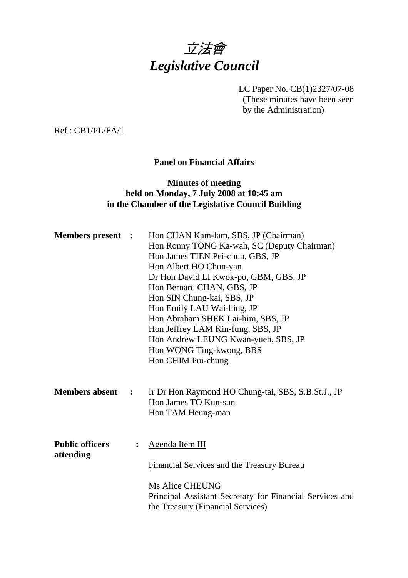

LC Paper No. CB(1)2327/07-08 (These minutes have been seen by the Administration)

Ref : CB1/PL/FA/1

# **Panel on Financial Affairs**

## **Minutes of meeting held on Monday, 7 July 2008 at 10:45 am in the Chamber of the Legislative Council Building**

| <b>Members present :</b>            |                | Hon CHAN Kam-lam, SBS, JP (Chairman)<br>Hon Ronny TONG Ka-wah, SC (Deputy Chairman)<br>Hon James TIEN Pei-chun, GBS, JP<br>Hon Albert HO Chun-yan<br>Dr Hon David LI Kwok-po, GBM, GBS, JP<br>Hon Bernard CHAN, GBS, JP<br>Hon SIN Chung-kai, SBS, JP<br>Hon Emily LAU Wai-hing, JP<br>Hon Abraham SHEK Lai-him, SBS, JP<br>Hon Jeffrey LAM Kin-fung, SBS, JP<br>Hon Andrew LEUNG Kwan-yuen, SBS, JP<br>Hon WONG Ting-kwong, BBS<br>Hon CHIM Pui-chung |
|-------------------------------------|----------------|--------------------------------------------------------------------------------------------------------------------------------------------------------------------------------------------------------------------------------------------------------------------------------------------------------------------------------------------------------------------------------------------------------------------------------------------------------|
| <b>Members absent</b>               | $\cdot$        | Ir Dr Hon Raymond HO Chung-tai, SBS, S.B.St.J., JP<br>Hon James TO Kun-sun<br>Hon TAM Heung-man                                                                                                                                                                                                                                                                                                                                                        |
| <b>Public officers</b><br>attending | $\ddot{\cdot}$ | Agenda Item III<br>Financial Services and the Treasury Bureau<br><b>Ms Alice CHEUNG</b><br>Principal Assistant Secretary for Financial Services and<br>the Treasury (Financial Services)                                                                                                                                                                                                                                                               |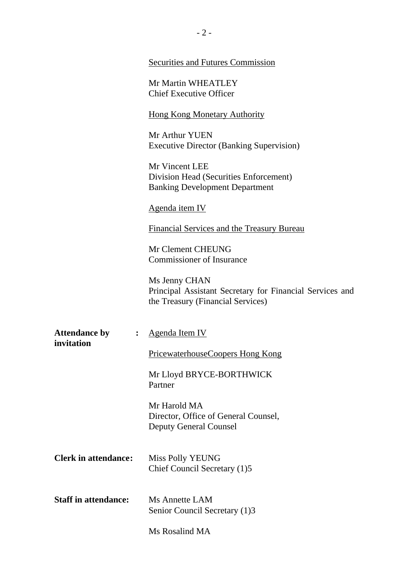|                                                              | <b>Securities and Futures Commission</b>                                                                       |
|--------------------------------------------------------------|----------------------------------------------------------------------------------------------------------------|
|                                                              | Mr Martin WHEATLEY<br><b>Chief Executive Officer</b>                                                           |
|                                                              | <b>Hong Kong Monetary Authority</b>                                                                            |
|                                                              | Mr Arthur YUEN<br><b>Executive Director (Banking Supervision)</b>                                              |
|                                                              | Mr Vincent LEE<br>Division Head (Securities Enforcement)<br><b>Banking Development Department</b>              |
|                                                              | Agenda item IV                                                                                                 |
|                                                              | Financial Services and the Treasury Bureau                                                                     |
|                                                              | Mr Clement CHEUNG<br><b>Commissioner of Insurance</b>                                                          |
|                                                              | Ms Jenny CHAN<br>Principal Assistant Secretary for Financial Services and<br>the Treasury (Financial Services) |
| <b>Attendance by</b><br>: $\ddot{\phantom{0}}$<br>invitation | Agenda Item IV                                                                                                 |
|                                                              | <b>PricewaterhouseCoopers Hong Kong</b>                                                                        |
|                                                              | Mr Lloyd BRYCE-BORTHWICK<br>Partner                                                                            |
|                                                              | Mr Harold MA<br>Director, Office of General Counsel,<br><b>Deputy General Counsel</b>                          |
| <b>Clerk in attendance:</b>                                  | <b>Miss Polly YEUNG</b><br>Chief Council Secretary (1)5                                                        |
| <b>Staff in attendance:</b>                                  | Ms Annette LAM<br>Senior Council Secretary (1)3                                                                |
|                                                              | Ms Rosalind MA                                                                                                 |

 $- 2 -$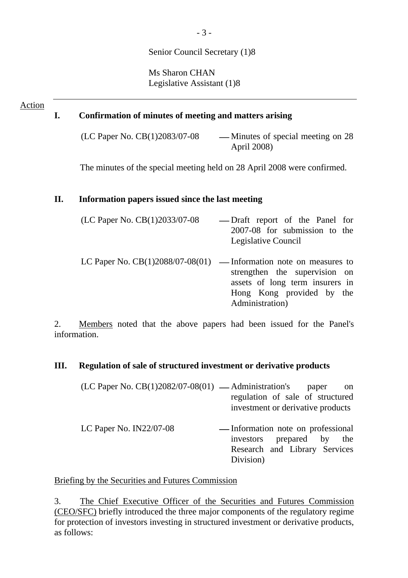# Senior Council Secretary (1)8

Ms Sharon CHAN Legislative Assistant (1)8

#### Action

### **I. Confirmation of minutes of meeting and matters arising**

(LC Paper No.  $CB(1)2083/07-08$  — Minutes of special meeting on 28 April 2008)

The minutes of the special meeting held on 28 April 2008 were confirmed.

#### **II. Information papers issued since the last meeting**

| (LC Paper No. CB(1)2033/07-08 | — Draft report of the Panel for<br>2007-08 for submission to the<br>Legislative Council                                                                                                  |
|-------------------------------|------------------------------------------------------------------------------------------------------------------------------------------------------------------------------------------|
|                               | LC Paper No. $CB(1)2088/07-08(01)$ — Information note on measures to<br>strengthen the supervision on<br>assets of long term insurers in<br>Hong Kong provided by the<br>Administration) |

2. Members noted that the above papers had been issued for the Panel's information.

### **III. Regulation of sale of structured investment or derivative products**

| $(LC$ Paper No. $CB(1)2082/07-08(01)$ — Administration's paper on |                                   |  |  |
|-------------------------------------------------------------------|-----------------------------------|--|--|
|                                                                   | regulation of sale of structured  |  |  |
|                                                                   | investment or derivative products |  |  |
|                                                                   |                                   |  |  |

LC Paper No. IN22/07-08 — Information note on professional investors prepared by the Research and Library Services Division)

Briefing by the Securities and Futures Commission

3. The Chief Executive Officer of the Securities and Futures Commission (CEO/SFC) briefly introduced the three major components of the regulatory regime for protection of investors investing in structured investment or derivative products, as follows: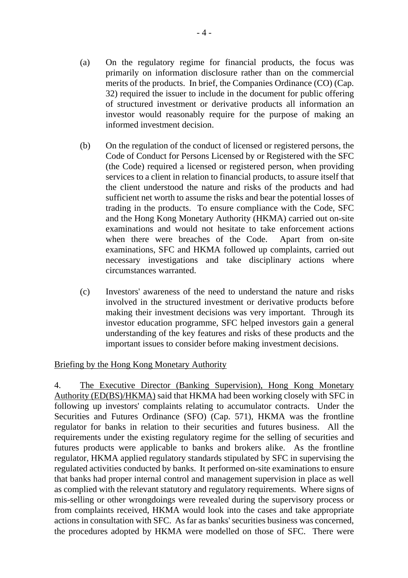- (a) On the regulatory regime for financial products, the focus was primarily on information disclosure rather than on the commercial merits of the products. In brief, the Companies Ordinance (CO) (Cap. 32) required the issuer to include in the document for public offering of structured investment or derivative products all information an investor would reasonably require for the purpose of making an informed investment decision.
- (b) On the regulation of the conduct of licensed or registered persons, the Code of Conduct for Persons Licensed by or Registered with the SFC (the Code) required a licensed or registered person, when providing services to a client in relation to financial products, to assure itself that the client understood the nature and risks of the products and had sufficient net worth to assume the risks and bear the potential losses of trading in the products. To ensure compliance with the Code, SFC and the Hong Kong Monetary Authority (HKMA) carried out on-site examinations and would not hesitate to take enforcement actions when there were breaches of the Code. Apart from on-site examinations, SFC and HKMA followed up complaints, carried out necessary investigations and take disciplinary actions where circumstances warranted.
- (c) Investors' awareness of the need to understand the nature and risks involved in the structured investment or derivative products before making their investment decisions was very important. Through its investor education programme, SFC helped investors gain a general understanding of the key features and risks of these products and the important issues to consider before making investment decisions.

### Briefing by the Hong Kong Monetary Authority

4. The Executive Director (Banking Supervision), Hong Kong Monetary Authority (ED(BS)/HKMA) said that HKMA had been working closely with SFC in following up investors' complaints relating to accumulator contracts. Under the Securities and Futures Ordinance (SFO) (Cap. 571), HKMA was the frontline regulator for banks in relation to their securities and futures business. All the requirements under the existing regulatory regime for the selling of securities and futures products were applicable to banks and brokers alike. As the frontline regulator, HKMA applied regulatory standards stipulated by SFC in supervising the regulated activities conducted by banks. It performed on-site examinations to ensure that banks had proper internal control and management supervision in place as well as complied with the relevant statutory and regulatory requirements. Where signs of mis-selling or other wrongdoings were revealed during the supervisory process or from complaints received, HKMA would look into the cases and take appropriate actions in consultation with SFC. As far as banks' securities business was concerned, the procedures adopted by HKMA were modelled on those of SFC. There were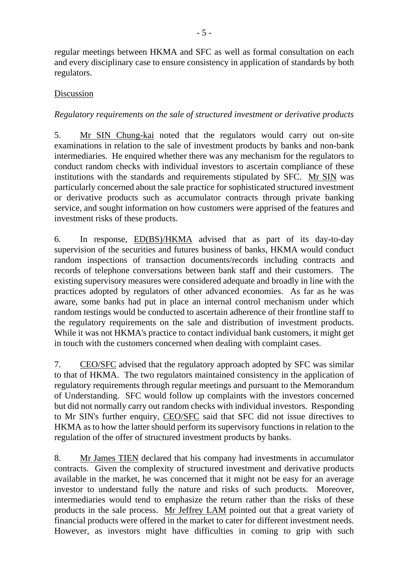regular meetings between HKMA and SFC as well as formal consultation on each and every disciplinary case to ensure consistency in application of standards by both regulators.

## Discussion

# *Regulatory requirements on the sale of structured investment or derivative products*

5. Mr SIN Chung-kai noted that the regulators would carry out on-site examinations in relation to the sale of investment products by banks and non-bank intermediaries. He enquired whether there was any mechanism for the regulators to conduct random checks with individual investors to ascertain compliance of these institutions with the standards and requirements stipulated by SFC. Mr SIN was particularly concerned about the sale practice for sophisticated structured investment or derivative products such as accumulator contracts through private banking service, and sought information on how customers were apprised of the features and investment risks of these products.

6. In response, ED(BS)/HKMA advised that as part of its day-to-day supervision of the securities and futures business of banks, HKMA would conduct random inspections of transaction documents/records including contracts and records of telephone conversations between bank staff and their customers. The existing supervisory measures were considered adequate and broadly in line with the practices adopted by regulators of other advanced economies. As far as he was aware, some banks had put in place an internal control mechanism under which random testings would be conducted to ascertain adherence of their frontline staff to the regulatory requirements on the sale and distribution of investment products. While it was not HKMA's practice to contact individual bank customers, it might get in touch with the customers concerned when dealing with complaint cases.

7. CEO/SFC advised that the regulatory approach adopted by SFC was similar to that of HKMA. The two regulators maintained consistency in the application of regulatory requirements through regular meetings and pursuant to the Memorandum of Understanding. SFC would follow up complaints with the investors concerned but did not normally carry out random checks with individual investors. Responding to Mr SIN's further enquiry, CEO/SFC said that SFC did not issue directives to HKMA as to how the latter should perform its supervisory functions in relation to the regulation of the offer of structured investment products by banks.

8. Mr James TIEN declared that his company had investments in accumulator contracts. Given the complexity of structured investment and derivative products available in the market, he was concerned that it might not be easy for an average investor to understand fully the nature and risks of such products. Moreover, intermediaries would tend to emphasize the return rather than the risks of these products in the sale process. Mr Jeffrey LAM pointed out that a great variety of financial products were offered in the market to cater for different investment needs. However, as investors might have difficulties in coming to grip with such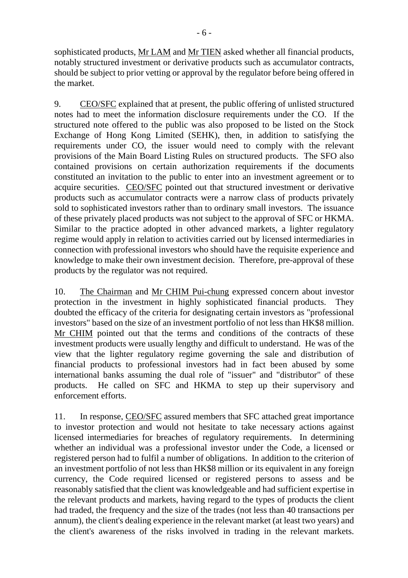sophisticated products, Mr LAM and Mr TIEN asked whether all financial products, notably structured investment or derivative products such as accumulator contracts, should be subject to prior vetting or approval by the regulator before being offered in the market.

9. CEO/SFC explained that at present, the public offering of unlisted structured notes had to meet the information disclosure requirements under the CO. If the structured note offered to the public was also proposed to be listed on the Stock Exchange of Hong Kong Limited (SEHK), then, in addition to satisfying the requirements under CO, the issuer would need to comply with the relevant provisions of the Main Board Listing Rules on structured products. The SFO also contained provisions on certain authorization requirements if the documents constituted an invitation to the public to enter into an investment agreement or to acquire securities. CEO/SFC pointed out that structured investment or derivative products such as accumulator contracts were a narrow class of products privately sold to sophisticated investors rather than to ordinary small investors. The issuance of these privately placed products was not subject to the approval of SFC or HKMA. Similar to the practice adopted in other advanced markets, a lighter regulatory regime would apply in relation to activities carried out by licensed intermediaries in connection with professional investors who should have the requisite experience and knowledge to make their own investment decision. Therefore, pre-approval of these products by the regulator was not required.

10. The Chairman and Mr CHIM Pui-chung expressed concern about investor protection in the investment in highly sophisticated financial products. They doubted the efficacy of the criteria for designating certain investors as "professional investors" based on the size of an investment portfolio of not less than HK\$8 million. Mr CHIM pointed out that the terms and conditions of the contracts of these investment products were usually lengthy and difficult to understand. He was of the view that the lighter regulatory regime governing the sale and distribution of financial products to professional investors had in fact been abused by some international banks assuming the dual role of "issuer" and "distributor" of these products. He called on SFC and HKMA to step up their supervisory and enforcement efforts.

11. In response, CEO/SFC assured members that SFC attached great importance to investor protection and would not hesitate to take necessary actions against licensed intermediaries for breaches of regulatory requirements. In determining whether an individual was a professional investor under the Code, a licensed or registered person had to fulfil a number of obligations. In addition to the criterion of an investment portfolio of not less than HK\$8 million or its equivalent in any foreign currency, the Code required licensed or registered persons to assess and be reasonably satisfied that the client was knowledgeable and had sufficient expertise in the relevant products and markets, having regard to the types of products the client had traded, the frequency and the size of the trades (not less than 40 transactions per annum), the client's dealing experience in the relevant market (at least two years) and the client's awareness of the risks involved in trading in the relevant markets.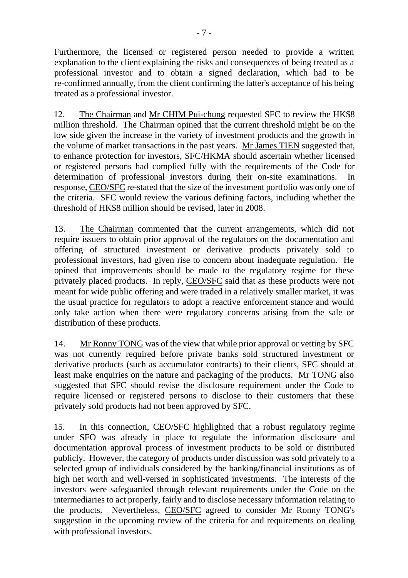Furthermore, the licensed or registered person needed to provide a written explanation to the client explaining the risks and consequences of being treated as a professional investor and to obtain a signed declaration, which had to be re-confirmed annually, from the client confirming the latter's acceptance of his being treated as a professional investor.

12. The Chairman and Mr CHIM Pui-chung requested SFC to review the HK\$8 million threshold. The Chairman opined that the current threshold might be on the low side given the increase in the variety of investment products and the growth in the volume of market transactions in the past years. Mr James TIEN suggested that, to enhance protection for investors, SFC/HKMA should ascertain whether licensed or registered persons had complied fully with the requirements of the Code for determination of professional investors during their on-site examinations. In response, CEO/SFC re-stated that the size of the investment portfolio was only one of the criteria. SFC would review the various defining factors, including whether the threshold of HK\$8 million should be revised, later in 2008.

13. The Chairman commented that the current arrangements, which did not require issuers to obtain prior approval of the regulators on the documentation and offering of structured investment or derivative products privately sold to professional investors, had given rise to concern about inadequate regulation. He opined that improvements should be made to the regulatory regime for these privately placed products. In reply, CEO/SFC said that as these products were not meant for wide public offering and were traded in a relatively smaller market, it was the usual practice for regulators to adopt a reactive enforcement stance and would only take action when there were regulatory concerns arising from the sale or distribution of these products.

14. Mr Ronny TONG was of the view that while prior approval or vetting by SFC was not currently required before private banks sold structured investment or derivative products (such as accumulator contracts) to their clients, SFC should at least make enquiries on the nature and packaging of the products. Mr TONG also suggested that SFC should revise the disclosure requirement under the Code to require licensed or registered persons to disclose to their customers that these privately sold products had not been approved by SFC.

15. In this connection, CEO/SFC highlighted that a robust regulatory regime under SFO was already in place to regulate the information disclosure and documentation approval process of investment products to be sold or distributed publicly. However, the category of products under discussion was sold privately to a selected group of individuals considered by the banking/financial institutions as of high net worth and well-versed in sophisticated investments. The interests of the investors were safeguarded through relevant requirements under the Code on the intermediaries to act properly, fairly and to disclose necessary information relating to the products. Nevertheless, CEO/SFC agreed to consider Mr Ronny TONG's suggestion in the upcoming review of the criteria for and requirements on dealing with professional investors.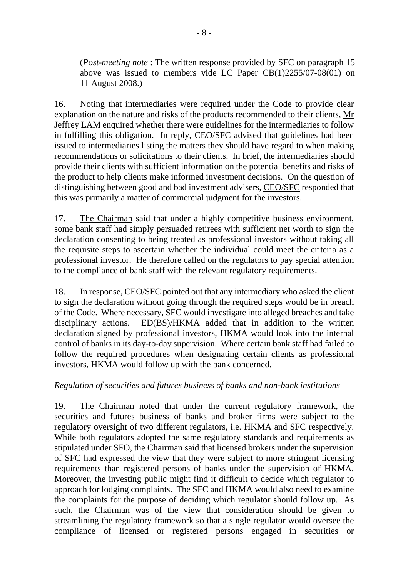(*Post-meeting note* : The written response provided by SFC on paragraph 15 above was issued to members vide LC Paper CB(1)2255/07-08(01) on 11 August 2008.)

16. Noting that intermediaries were required under the Code to provide clear explanation on the nature and risks of the products recommended to their clients, Mr Jeffrey LAM enquired whether there were guidelines for the intermediaries to follow in fulfilling this obligation. In reply, CEO/SFC advised that guidelines had been issued to intermediaries listing the matters they should have regard to when making recommendations or solicitations to their clients. In brief, the intermediaries should provide their clients with sufficient information on the potential benefits and risks of the product to help clients make informed investment decisions. On the question of distinguishing between good and bad investment advisers, CEO/SFC responded that this was primarily a matter of commercial judgment for the investors.

17. The Chairman said that under a highly competitive business environment, some bank staff had simply persuaded retirees with sufficient net worth to sign the declaration consenting to being treated as professional investors without taking all the requisite steps to ascertain whether the individual could meet the criteria as a professional investor. He therefore called on the regulators to pay special attention to the compliance of bank staff with the relevant regulatory requirements.

18. In response, CEO/SFC pointed out that any intermediary who asked the client to sign the declaration without going through the required steps would be in breach of the Code. Where necessary, SFC would investigate into alleged breaches and take disciplinary actions. ED(BS)/HKMA added that in addition to the written declaration signed by professional investors, HKMA would look into the internal control of banks in its day-to-day supervision. Where certain bank staff had failed to follow the required procedures when designating certain clients as professional investors, HKMA would follow up with the bank concerned.

# *Regulation of securities and futures business of banks and non-bank institutions*

19. The Chairman noted that under the current regulatory framework, the securities and futures business of banks and broker firms were subject to the regulatory oversight of two different regulators, i.e. HKMA and SFC respectively. While both regulators adopted the same regulatory standards and requirements as stipulated under SFO, the Chairman said that licensed brokers under the supervision of SFC had expressed the view that they were subject to more stringent licensing requirements than registered persons of banks under the supervision of HKMA. Moreover, the investing public might find it difficult to decide which regulator to approach for lodging complaints. The SFC and HKMA would also need to examine the complaints for the purpose of deciding which regulator should follow up. As such, the Chairman was of the view that consideration should be given to streamlining the regulatory framework so that a single regulator would oversee the compliance of licensed or registered persons engaged in securities or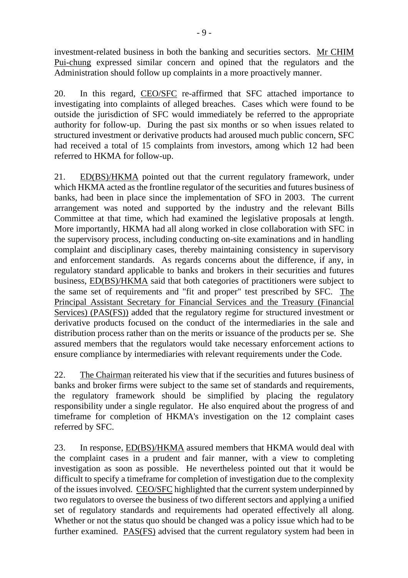investment-related business in both the banking and securities sectors. Mr CHIM Pui-chung expressed similar concern and opined that the regulators and the Administration should follow up complaints in a more proactively manner.

20. In this regard, CEO/SFC re-affirmed that SFC attached importance to investigating into complaints of alleged breaches. Cases which were found to be outside the jurisdiction of SFC would immediately be referred to the appropriate authority for follow-up. During the past six months or so when issues related to structured investment or derivative products had aroused much public concern, SFC had received a total of 15 complaints from investors, among which 12 had been referred to HKMA for follow-up.

21. ED(BS)/HKMA pointed out that the current regulatory framework, under which HKMA acted as the frontline regulator of the securities and futures business of banks, had been in place since the implementation of SFO in 2003. The current arrangement was noted and supported by the industry and the relevant Bills Committee at that time, which had examined the legislative proposals at length. More importantly, HKMA had all along worked in close collaboration with SFC in the supervisory process, including conducting on-site examinations and in handling complaint and disciplinary cases, thereby maintaining consistency in supervisory and enforcement standards. As regards concerns about the difference, if any, in regulatory standard applicable to banks and brokers in their securities and futures business, ED(BS)/HKMA said that both categories of practitioners were subject to the same set of requirements and "fit and proper" test prescribed by SFC. The Principal Assistant Secretary for Financial Services and the Treasury (Financial Services) (PAS(FS)) added that the regulatory regime for structured investment or derivative products focused on the conduct of the intermediaries in the sale and distribution process rather than on the merits or issuance of the products per se. She assured members that the regulators would take necessary enforcement actions to ensure compliance by intermediaries with relevant requirements under the Code.

22. The Chairman reiterated his view that if the securities and futures business of banks and broker firms were subject to the same set of standards and requirements, the regulatory framework should be simplified by placing the regulatory responsibility under a single regulator. He also enquired about the progress of and timeframe for completion of HKMA's investigation on the 12 complaint cases referred by SFC.

23. In response, ED(BS)/HKMA assured members that HKMA would deal with the complaint cases in a prudent and fair manner, with a view to completing investigation as soon as possible. He nevertheless pointed out that it would be difficult to specify a timeframe for completion of investigation due to the complexity of the issues involved. CEO/SFC highlighted that the current system underpinned by two regulators to oversee the business of two different sectors and applying a unified set of regulatory standards and requirements had operated effectively all along. Whether or not the status quo should be changed was a policy issue which had to be further examined. PAS(FS) advised that the current regulatory system had been in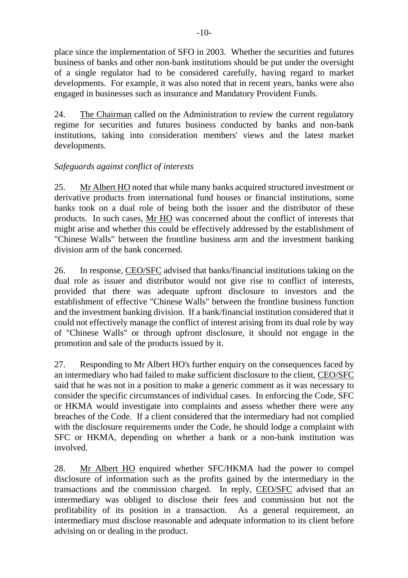place since the implementation of SFO in 2003. Whether the securities and futures business of banks and other non-bank institutions should be put under the oversight of a single regulator had to be considered carefully, having regard to market developments. For example, it was also noted that in recent years, banks were also engaged in businesses such as insurance and Mandatory Provident Funds.

24. The Chairman called on the Administration to review the current regulatory regime for securities and futures business conducted by banks and non-bank institutions, taking into consideration members' views and the latest market developments.

# *Safeguards against conflict of interests*

25. Mr Albert HO noted that while many banks acquired structured investment or derivative products from international fund houses or financial institutions, some banks took on a dual role of being both the issuer and the distributor of these products. In such cases, Mr HO was concerned about the conflict of interests that might arise and whether this could be effectively addressed by the establishment of "Chinese Walls" between the frontline business arm and the investment banking division arm of the bank concerned.

26. In response, CEO/SFC advised that banks/financial institutions taking on the dual role as issuer and distributor would not give rise to conflict of interests, provided that there was adequate upfront disclosure to investors and the establishment of effective "Chinese Walls" between the frontline business function and the investment banking division. If a bank/financial institution considered that it could not effectively manage the conflict of interest arising from its dual role by way of "Chinese Walls" or through upfront disclosure, it should not engage in the promotion and sale of the products issued by it.

27. Responding to Mr Albert HO's further enquiry on the consequences faced by an intermediary who had failed to make sufficient disclosure to the client, CEO/SFC said that he was not in a position to make a generic comment as it was necessary to consider the specific circumstances of individual cases. In enforcing the Code, SFC or HKMA would investigate into complaints and assess whether there were any breaches of the Code. If a client considered that the intermediary had not complied with the disclosure requirements under the Code, he should lodge a complaint with SFC or HKMA, depending on whether a bank or a non-bank institution was involved.

28. Mr Albert HO enquired whether SFC/HKMA had the power to compel disclosure of information such as the profits gained by the intermediary in the transactions and the commission charged. In reply, CEO/SFC advised that an intermediary was obliged to disclose their fees and commission but not the profitability of its position in a transaction. As a general requirement, an intermediary must disclose reasonable and adequate information to its client before advising on or dealing in the product.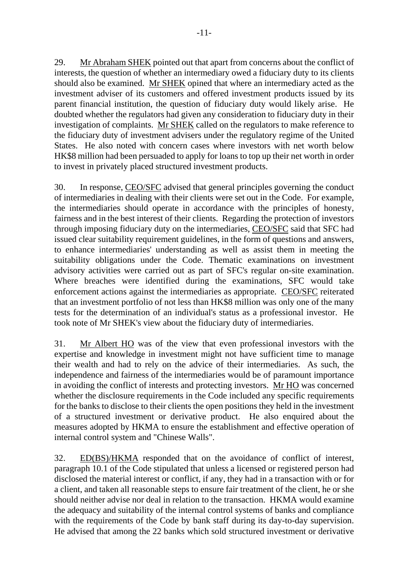29. Mr Abraham SHEK pointed out that apart from concerns about the conflict of interests, the question of whether an intermediary owed a fiduciary duty to its clients should also be examined. Mr SHEK opined that where an intermediary acted as the investment adviser of its customers and offered investment products issued by its parent financial institution, the question of fiduciary duty would likely arise. He doubted whether the regulators had given any consideration to fiduciary duty in their investigation of complaints. Mr SHEK called on the regulators to make reference to the fiduciary duty of investment advisers under the regulatory regime of the United States. He also noted with concern cases where investors with net worth below HK\$8 million had been persuaded to apply for loans to top up their net worth in order to invest in privately placed structured investment products.

30. In response, CEO/SFC advised that general principles governing the conduct of intermediaries in dealing with their clients were set out in the Code. For example, the intermediaries should operate in accordance with the principles of honesty, fairness and in the best interest of their clients. Regarding the protection of investors through imposing fiduciary duty on the intermediaries, CEO/SFC said that SFC had issued clear suitability requirement guidelines, in the form of questions and answers, to enhance intermediaries' understanding as well as assist them in meeting the suitability obligations under the Code. Thematic examinations on investment advisory activities were carried out as part of SFC's regular on-site examination. Where breaches were identified during the examinations, SFC would take enforcement actions against the intermediaries as appropriate. CEO/SFC reiterated that an investment portfolio of not less than HK\$8 million was only one of the many tests for the determination of an individual's status as a professional investor. He took note of Mr SHEK's view about the fiduciary duty of intermediaries.

31. Mr Albert HO was of the view that even professional investors with the expertise and knowledge in investment might not have sufficient time to manage their wealth and had to rely on the advice of their intermediaries. As such, the independence and fairness of the intermediaries would be of paramount importance in avoiding the conflict of interests and protecting investors. Mr HO was concerned whether the disclosure requirements in the Code included any specific requirements for the banks to disclose to their clients the open positions they held in the investment of a structured investment or derivative product. He also enquired about the measures adopted by HKMA to ensure the establishment and effective operation of internal control system and "Chinese Walls".

32. ED(BS)/HKMA responded that on the avoidance of conflict of interest, paragraph 10.1 of the Code stipulated that unless a licensed or registered person had disclosed the material interest or conflict, if any, they had in a transaction with or for a client, and taken all reasonable steps to ensure fair treatment of the client, he or she should neither advise nor deal in relation to the transaction. HKMA would examine the adequacy and suitability of the internal control systems of banks and compliance with the requirements of the Code by bank staff during its day-to-day supervision. He advised that among the 22 banks which sold structured investment or derivative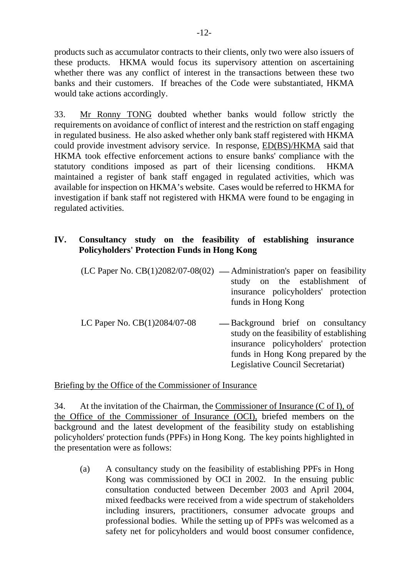products such as accumulator contracts to their clients, only two were also issuers of these products. HKMA would focus its supervisory attention on ascertaining whether there was any conflict of interest in the transactions between these two banks and their customers. If breaches of the Code were substantiated, HKMA would take actions accordingly.

33. Mr Ronny TONG doubted whether banks would follow strictly the requirements on avoidance of conflict of interest and the restriction on staff engaging in regulated business. He also asked whether only bank staff registered with HKMA could provide investment advisory service. In response, ED(BS)/HKMA said that HKMA took effective enforcement actions to ensure banks' compliance with the statutory conditions imposed as part of their licensing conditions. HKMA maintained a register of bank staff engaged in regulated activities, which was available for inspection on HKMA's website. Cases would be referred to HKMA for investigation if bank staff not registered with HKMA were found to be engaging in regulated activities.

# **IV. Consultancy study on the feasibility of establishing insurance Policyholders' Protection Funds in Hong Kong**

|                                | (LC Paper No. $CB(1)2082/07-08(02)$ — Administration's paper on feasibility                                                                                                                                                                                                                                                                            |
|--------------------------------|--------------------------------------------------------------------------------------------------------------------------------------------------------------------------------------------------------------------------------------------------------------------------------------------------------------------------------------------------------|
|                                | study on the establishment of                                                                                                                                                                                                                                                                                                                          |
|                                | insurance policyholders' protection                                                                                                                                                                                                                                                                                                                    |
|                                | funds in Hong Kong                                                                                                                                                                                                                                                                                                                                     |
|                                |                                                                                                                                                                                                                                                                                                                                                        |
| LC Paper No. $CB(1)2084/07-08$ | — Background brief on consultancy<br>$\mathcal{L}$ and $\mathcal{L}$ and $\mathcal{L}$ and $\mathcal{L}$ and $\mathcal{L}$ and $\mathcal{L}$ and $\mathcal{L}$ and $\mathcal{L}$ and $\mathcal{L}$ and $\mathcal{L}$ and $\mathcal{L}$ and $\mathcal{L}$ and $\mathcal{L}$ and $\mathcal{L}$ and $\mathcal{L}$ and $\mathcal{L}$ and $\mathcal{L}$ and |

study on the feasibility of establishing insurance policyholders' protection funds in Hong Kong prepared by the Legislative Council Secretariat)

### Briefing by the Office of the Commissioner of Insurance

34. At the invitation of the Chairman, the Commissioner of Insurance (C of I), of the Office of the Commissioner of Insurance (OCI), briefed members on the background and the latest development of the feasibility study on establishing policyholders' protection funds (PPFs) in Hong Kong. The key points highlighted in the presentation were as follows:

(a) A consultancy study on the feasibility of establishing PPFs in Hong Kong was commissioned by OCI in 2002. In the ensuing public consultation conducted between December 2003 and April 2004, mixed feedbacks were received from a wide spectrum of stakeholders including insurers, practitioners, consumer advocate groups and professional bodies. While the setting up of PPFs was welcomed as a safety net for policyholders and would boost consumer confidence,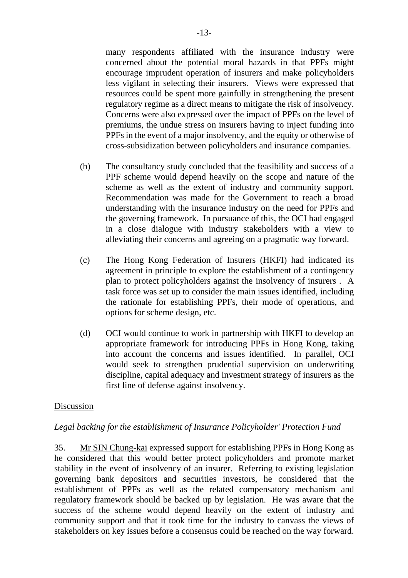many respondents affiliated with the insurance industry were concerned about the potential moral hazards in that PPFs might encourage imprudent operation of insurers and make policyholders less vigilant in selecting their insurers. Views were expressed that resources could be spent more gainfully in strengthening the present regulatory regime as a direct means to mitigate the risk of insolvency. Concerns were also expressed over the impact of PPFs on the level of premiums, the undue stress on insurers having to inject funding into PPFs in the event of a major insolvency, and the equity or otherwise of cross-subsidization between policyholders and insurance companies.

- (b) The consultancy study concluded that the feasibility and success of a PPF scheme would depend heavily on the scope and nature of the scheme as well as the extent of industry and community support. Recommendation was made for the Government to reach a broad understanding with the insurance industry on the need for PPFs and the governing framework. In pursuance of this, the OCI had engaged in a close dialogue with industry stakeholders with a view to alleviating their concerns and agreeing on a pragmatic way forward.
- (c) The Hong Kong Federation of Insurers (HKFI) had indicated its agreement in principle to explore the establishment of a contingency plan to protect policyholders against the insolvency of insurers . A task force was set up to consider the main issues identified, including the rationale for establishing PPFs, their mode of operations, and options for scheme design, etc.
- (d) OCI would continue to work in partnership with HKFI to develop an appropriate framework for introducing PPFs in Hong Kong, taking into account the concerns and issues identified. In parallel, OCI would seek to strengthen prudential supervision on underwriting discipline, capital adequacy and investment strategy of insurers as the first line of defense against insolvency.

### Discussion

#### *Legal backing for the establishment of Insurance Policyholder' Protection Fund*

35. Mr SIN Chung-kai expressed support for establishing PPFs in Hong Kong as he considered that this would better protect policyholders and promote market stability in the event of insolvency of an insurer. Referring to existing legislation governing bank depositors and securities investors, he considered that the establishment of PPFs as well as the related compensatory mechanism and regulatory framework should be backed up by legislation. He was aware that the success of the scheme would depend heavily on the extent of industry and community support and that it took time for the industry to canvass the views of stakeholders on key issues before a consensus could be reached on the way forward.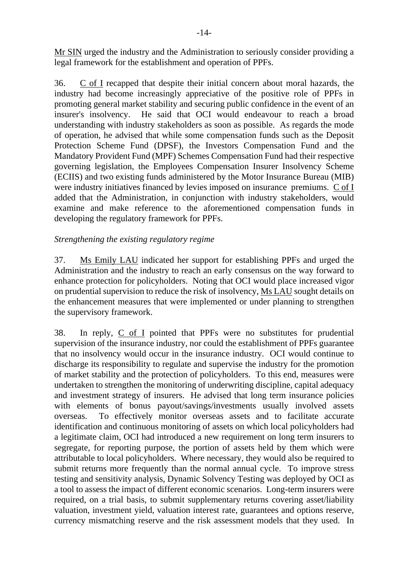Mr SIN urged the industry and the Administration to seriously consider providing a legal framework for the establishment and operation of PPFs.

36. C of I recapped that despite their initial concern about moral hazards, the industry had become increasingly appreciative of the positive role of PPFs in promoting general market stability and securing public confidence in the event of an insurer's insolvency. He said that OCI would endeavour to reach a broad understanding with industry stakeholders as soon as possible. As regards the mode of operation, he advised that while some compensation funds such as the Deposit Protection Scheme Fund (DPSF), the Investors Compensation Fund and the Mandatory Provident Fund (MPF) Schemes Compensation Fund had their respective governing legislation, the Employees Compensation Insurer Insolvency Scheme (ECIIS) and two existing funds administered by the Motor Insurance Bureau (MIB) were industry initiatives financed by levies imposed on insurance premiums. C of I added that the Administration, in conjunction with industry stakeholders, would examine and make reference to the aforementioned compensation funds in developing the regulatory framework for PPFs.

### *Strengthening the existing regulatory regime*

37. Ms Emily LAU indicated her support for establishing PPFs and urged the Administration and the industry to reach an early consensus on the way forward to enhance protection for policyholders. Noting that OCI would place increased vigor on prudential supervision to reduce the risk of insolvency, Ms LAU sought details on the enhancement measures that were implemented or under planning to strengthen the supervisory framework.

38. In reply, C of I pointed that PPFs were no substitutes for prudential supervision of the insurance industry, nor could the establishment of PPFs guarantee that no insolvency would occur in the insurance industry. OCI would continue to discharge its responsibility to regulate and supervise the industry for the promotion of market stability and the protection of policyholders. To this end, measures were undertaken to strengthen the monitoring of underwriting discipline, capital adequacy and investment strategy of insurers. He advised that long term insurance policies with elements of bonus payout/savings/investments usually involved assets overseas. To effectively monitor overseas assets and to facilitate accurate identification and continuous monitoring of assets on which local policyholders had a legitimate claim, OCI had introduced a new requirement on long term insurers to segregate, for reporting purpose, the portion of assets held by them which were attributable to local policyholders. Where necessary, they would also be required to submit returns more frequently than the normal annual cycle. To improve stress testing and sensitivity analysis, Dynamic Solvency Testing was deployed by OCI as a tool to assess the impact of different economic scenarios. Long-term insurers were required, on a trial basis, to submit supplementary returns covering asset/liability valuation, investment yield, valuation interest rate, guarantees and options reserve, currency mismatching reserve and the risk assessment models that they used. In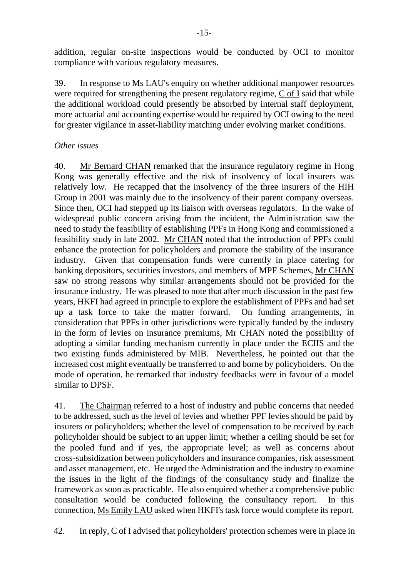addition, regular on-site inspections would be conducted by OCI to monitor compliance with various regulatory measures.

39. In response to Ms LAU's enquiry on whether additional manpower resources were required for strengthening the present regulatory regime, C of I said that while the additional workload could presently be absorbed by internal staff deployment, more actuarial and accounting expertise would be required by OCI owing to the need for greater vigilance in asset-liability matching under evolving market conditions.

# *Other issues*

40. Mr Bernard CHAN remarked that the insurance regulatory regime in Hong Kong was generally effective and the risk of insolvency of local insurers was relatively low. He recapped that the insolvency of the three insurers of the HIH Group in 2001 was mainly due to the insolvency of their parent company overseas. Since then, OCI had stepped up its liaison with overseas regulators. In the wake of widespread public concern arising from the incident, the Administration saw the need to study the feasibility of establishing PPFs in Hong Kong and commissioned a feasibility study in late 2002. Mr CHAN noted that the introduction of PPFs could enhance the protection for policyholders and promote the stability of the insurance industry. Given that compensation funds were currently in place catering for banking depositors, securities investors, and members of MPF Schemes, Mr CHAN saw no strong reasons why similar arrangements should not be provided for the insurance industry. He was pleased to note that after much discussion in the past few years, HKFI had agreed in principle to explore the establishment of PPFs and had set up a task force to take the matter forward. On funding arrangements, in consideration that PPFs in other jurisdictions were typically funded by the industry in the form of levies on insurance premiums, Mr CHAN noted the possibility of adopting a similar funding mechanism currently in place under the ECIIS and the two existing funds administered by MIB. Nevertheless, he pointed out that the increased cost might eventually be transferred to and borne by policyholders. On the mode of operation, he remarked that industry feedbacks were in favour of a model similar to DPSF.

41. The Chairman referred to a host of industry and public concerns that needed to be addressed, such as the level of levies and whether PPF levies should be paid by insurers or policyholders; whether the level of compensation to be received by each policyholder should be subject to an upper limit; whether a ceiling should be set for the pooled fund and if yes, the appropriate level; as well as concerns about cross-subsidization between policyholders and insurance companies, risk assessment and asset management, etc. He urged the Administration and the industry to examine the issues in the light of the findings of the consultancy study and finalize the framework as soon as practicable. He also enquired whether a comprehensive public consultation would be conducted following the consultancy report. In this connection, Ms Emily LAU asked when HKFI's task force would complete its report.

42. In reply, C of I advised that policyholders' protection schemes were in place in